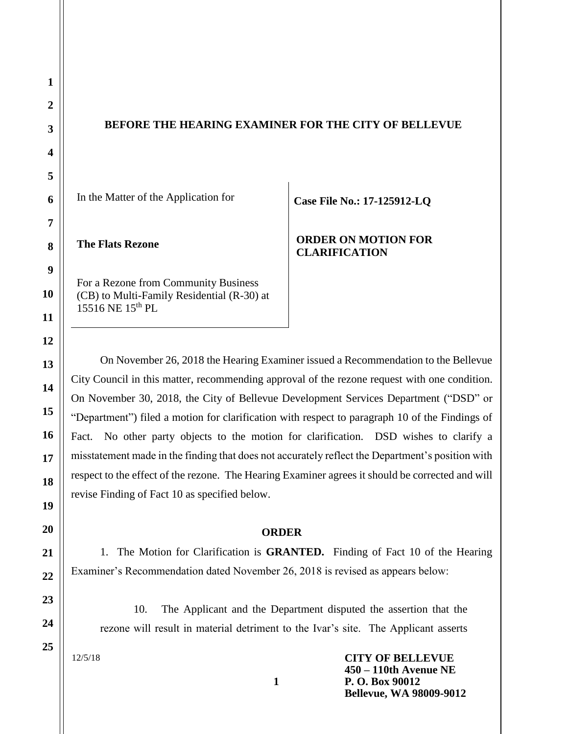# **BEFORE THE HEARING EXAMINER FOR THE CITY OF BELLEVUE**

In the Matter of the Application for

**The Flats Rezone** 

For a Rezone from Community Business (CB) to Multi-Family Residential (R-30) at 15516 NE 15th PL

**Case File No.: 17-125912-LQ**

**ORDER ON MOTION FOR CLARIFICATION**

On November 26, 2018 the Hearing Examiner issued a Recommendation to the Bellevue City Council in this matter, recommending approval of the rezone request with one condition. On November 30, 2018, the City of Bellevue Development Services Department ("DSD" or "Department") filed a motion for clarification with respect to paragraph 10 of the Findings of Fact. No other party objects to the motion for clarification. DSD wishes to clarify a misstatement made in the finding that does not accurately reflect the Department's position with respect to the effect of the rezone. The Hearing Examiner agrees it should be corrected and will revise Finding of Fact 10 as specified below.

#### **ORDER**

1. The Motion for Clarification is **GRANTED.** Finding of Fact 10 of the Hearing Examiner's Recommendation dated November 26, 2018 is revised as appears below:

10. The Applicant and the Department disputed the assertion that the rezone will result in material detriment to the Ivar's site. The Applicant asserts

12/5/18

**CITY OF BELLEVUE 450 – 110th Avenue NE P. O. Box 90012 Bellevue, WA 98009-9012**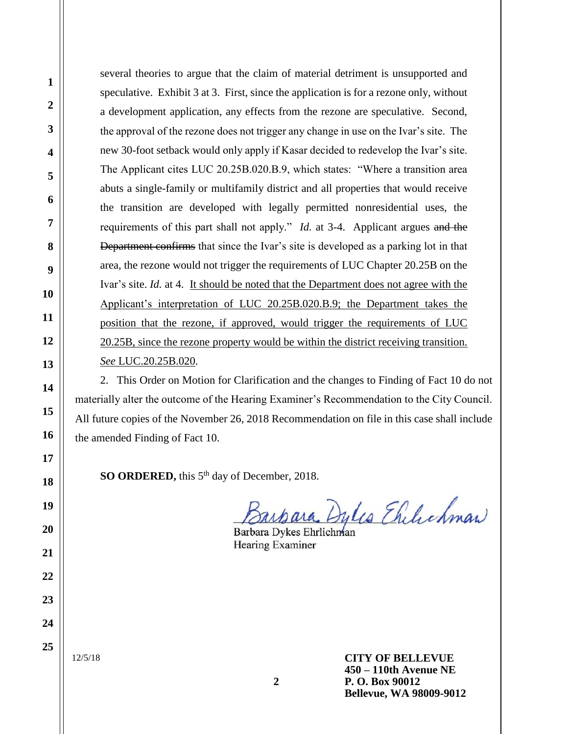several theories to argue that the claim of material detriment is unsupported and speculative. Exhibit 3 at 3. First, since the application is for a rezone only, without a development application, any effects from the rezone are speculative. Second, the approval of the rezone does not trigger any change in use on the Ivar's site. The new 30-foot setback would only apply if Kasar decided to redevelop the Ivar's site. The Applicant cites LUC 20.25B.020.B.9, which states: "Where a transition area abuts a single-family or multifamily district and all properties that would receive the transition are developed with legally permitted nonresidential uses, the requirements of this part shall not apply." *Id.* at 3-4. Applicant argues and the Department confirms that since the Ivar's site is developed as a parking lot in that area, the rezone would not trigger the requirements of LUC Chapter 20.25B on the Ivar's site. *Id.* at 4. It should be noted that the Department does not agree with the Applicant's interpretation of LUC 20.25B.020.B.9; the Department takes the position that the rezone, if approved, would trigger the requirements of LUC 20.25B, since the rezone property would be within the district receiving transition. *See* LUC.20.25B.020.

2. This Order on Motion for Clarification and the changes to Finding of Fact 10 do not materially alter the outcome of the Hearing Examiner's Recommendation to the City Council. All future copies of the November 26, 2018 Recommendation on file in this case shall include the amended Finding of Fact 10.

**SO ORDERED,** this 5<sup>th</sup> day of December, 2018.

ara Dylis Ehilichman

Barbara Dykes Ehrlichman Hearing Examiner

12/5/18

**CITY OF BELLEVUE 450 – 110th Avenue NE P. O. Box 90012 Bellevue, WA 98009-9012**

**1**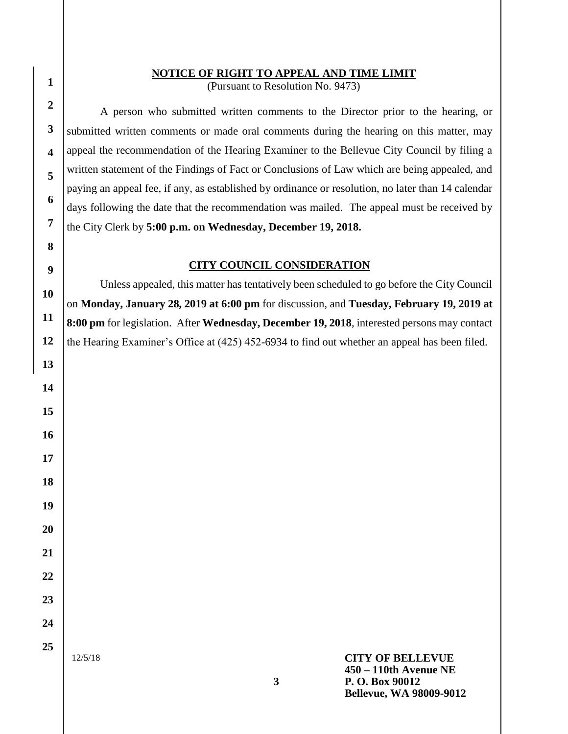### **NOTICE OF RIGHT TO APPEAL AND TIME LIMIT**

(Pursuant to Resolution No. 9473)

A person who submitted written comments to the Director prior to the hearing, or submitted written comments or made oral comments during the hearing on this matter, may appeal the recommendation of the Hearing Examiner to the Bellevue City Council by filing a written statement of the Findings of Fact or Conclusions of Law which are being appealed, and paying an appeal fee, if any, as established by ordinance or resolution, no later than 14 calendar days following the date that the recommendation was mailed. The appeal must be received by the City Clerk by **5:00 p.m. on Wednesday, December 19, 2018.**

## **CITY COUNCIL CONSIDERATION**

Unless appealed, this matter has tentatively been scheduled to go before the City Council on **Monday, January 28, 2019 at 6:00 pm** for discussion, and **Tuesday, February 19, 2019 at 8:00 pm** for legislation. After **Wednesday, December 19, 2018**, interested persons may contact the Hearing Examiner's Office at (425) 452-6934 to find out whether an appeal has been filed.

12/5/18

**1**

**2**

**3**

**4**

**5**

**6**

**7**

**8**

**9**

**10**

**11**

**12**

**13**

**14**

**15**

**16**

**17**

**18**

**19**

**20**

**21**

**22**

**23**

**24**

**25**